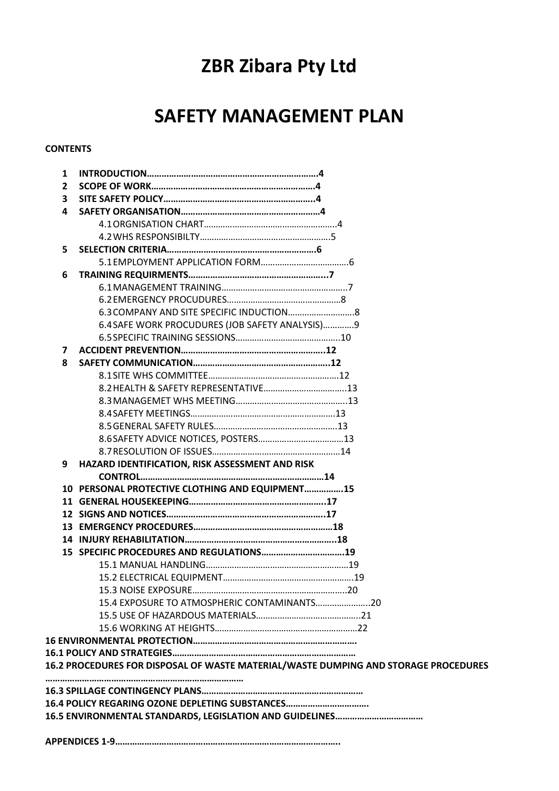# **ZBR Zibara Pty Ltd**

## **SAFETY MANAGEMENT PLAN**

## **CONTENTS**

| 1                                               |                                                                                     |  |
|-------------------------------------------------|-------------------------------------------------------------------------------------|--|
| 2                                               |                                                                                     |  |
| 3                                               |                                                                                     |  |
| 4                                               |                                                                                     |  |
|                                                 |                                                                                     |  |
|                                                 |                                                                                     |  |
| 5                                               |                                                                                     |  |
|                                                 |                                                                                     |  |
| 6                                               |                                                                                     |  |
|                                                 |                                                                                     |  |
|                                                 |                                                                                     |  |
|                                                 |                                                                                     |  |
|                                                 | 6.4 SAFE WORK PROCUDURES (JOB SAFETY ANALYSIS) 9                                    |  |
|                                                 |                                                                                     |  |
| 7                                               |                                                                                     |  |
| 8                                               |                                                                                     |  |
|                                                 |                                                                                     |  |
|                                                 |                                                                                     |  |
|                                                 |                                                                                     |  |
|                                                 |                                                                                     |  |
|                                                 |                                                                                     |  |
|                                                 |                                                                                     |  |
|                                                 |                                                                                     |  |
| 9                                               | HAZARD IDENTIFICATION, RISK ASSESSMENT AND RISK                                     |  |
|                                                 |                                                                                     |  |
|                                                 | 10 PERSONAL PROTECTIVE CLOTHING AND EQUIPMENT15                                     |  |
|                                                 |                                                                                     |  |
|                                                 |                                                                                     |  |
|                                                 |                                                                                     |  |
|                                                 |                                                                                     |  |
|                                                 | 15 SPECIFIC PROCEDURES AND REGULATIONS19                                            |  |
|                                                 |                                                                                     |  |
|                                                 |                                                                                     |  |
|                                                 |                                                                                     |  |
|                                                 |                                                                                     |  |
|                                                 |                                                                                     |  |
|                                                 |                                                                                     |  |
|                                                 |                                                                                     |  |
|                                                 |                                                                                     |  |
|                                                 | 16.2 PROCEDURES FOR DISPOSAL OF WASTE MATERIAL/WASTE DUMPING AND STORAGE PROCEDURES |  |
|                                                 |                                                                                     |  |
| 16.4 POLICY REGARING OZONE DEPLETING SUBSTANCES |                                                                                     |  |
|                                                 |                                                                                     |  |
|                                                 |                                                                                     |  |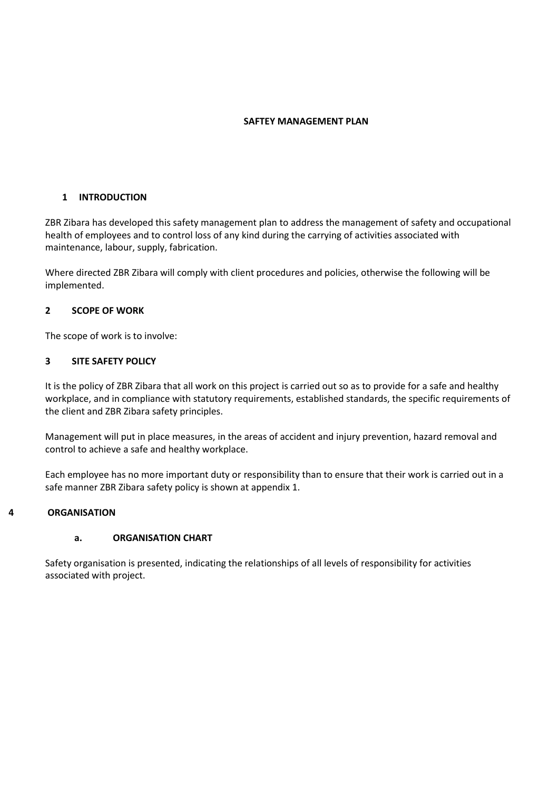#### **SAFTEY MANAGEMENT PLAN**

## **1 INTRODUCTION**

ZBR Zibara has developed this safety management plan to address the management of safety and occupational health of employees and to control loss of any kind during the carrying of activities associated with maintenance, labour, supply, fabrication.

Where directed ZBR Zibara will comply with client procedures and policies, otherwise the following will be implemented.

## **2 SCOPE OF WORK**

The scope of work is to involve:

## **3 SITE SAFETY POLICY**

It is the policy of ZBR Zibara that all work on this project is carried out so as to provide for a safe and healthy workplace, and in compliance with statutory requirements, established standards, the specific requirements of the client and ZBR Zibara safety principles.

Management will put in place measures, in the areas of accident and injury prevention, hazard removal and control to achieve a safe and healthy workplace.

Each employee has no more important duty or responsibility than to ensure that their work is carried out in a safe manner ZBR Zibara safety policy is shown at appendix 1.

#### **4 ORGANISATION**

#### **a. ORGANISATION CHART**

Safety organisation is presented, indicating the relationships of all levels of responsibility for activities associated with project.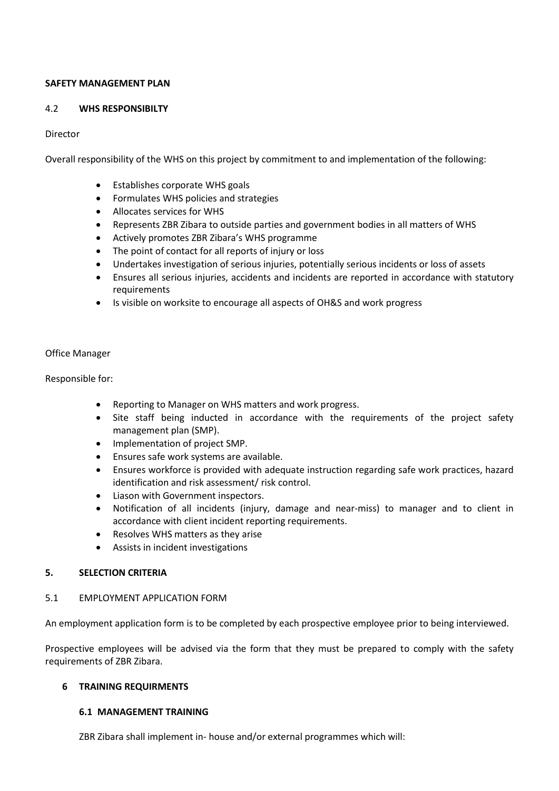### **SAFETY MANAGEMENT PLAN**

### 4.2 **WHS RESPONSIBILTY**

## Director

Overall responsibility of the WHS on this project by commitment to and implementation of the following:

- Establishes corporate WHS goals
- Formulates WHS policies and strategies
- Allocates services for WHS
- Represents ZBR Zibara to outside parties and government bodies in all matters of WHS
- Actively promotes ZBR Zibara's WHS programme
- The point of contact for all reports of injury or loss
- Undertakes investigation of serious injuries, potentially serious incidents or loss of assets
- Ensures all serious injuries, accidents and incidents are reported in accordance with statutory requirements
- Is visible on worksite to encourage all aspects of OH&S and work progress

#### Office Manager

Responsible for:

- Reporting to Manager on WHS matters and work progress.
- Site staff being inducted in accordance with the requirements of the project safety management plan (SMP).
- Implementation of project SMP.
- Ensures safe work systems are available.
- Ensures workforce is provided with adequate instruction regarding safe work practices, hazard identification and risk assessment/ risk control.
- Liason with Government inspectors.
- Notification of all incidents (injury, damage and near-miss) to manager and to client in accordance with client incident reporting requirements.
- Resolves WHS matters as they arise
- Assists in incident investigations

#### **5. SELECTION CRITERIA**

#### 5.1 EMPLOYMENT APPLICATION FORM

An employment application form is to be completed by each prospective employee prior to being interviewed.

Prospective employees will be advised via the form that they must be prepared to comply with the safety requirements of ZBR Zibara.

#### **6 TRAINING REQUIRMENTS**

#### **6.1 MANAGEMENT TRAINING**

ZBR Zibara shall implement in- house and/or external programmes which will: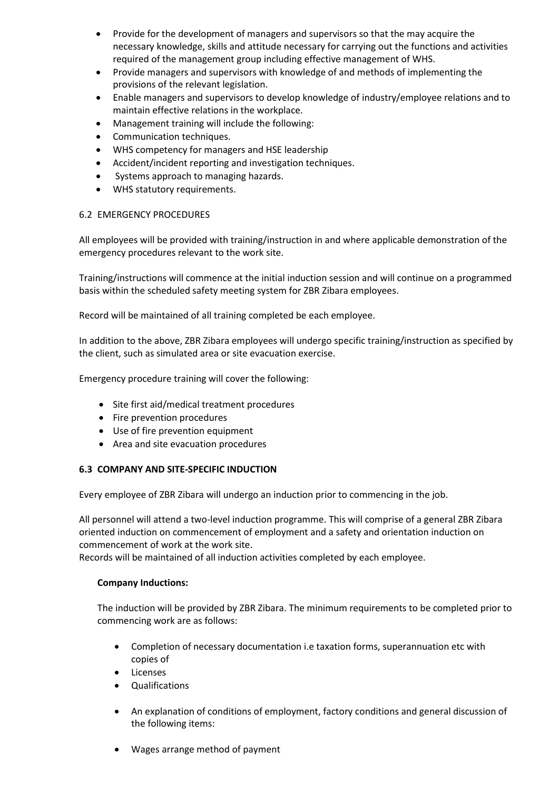- Provide for the development of managers and supervisors so that the may acquire the necessary knowledge, skills and attitude necessary for carrying out the functions and activities required of the management group including effective management of WHS.
- Provide managers and supervisors with knowledge of and methods of implementing the provisions of the relevant legislation.
- Enable managers and supervisors to develop knowledge of industry/employee relations and to maintain effective relations in the workplace.
- Management training will include the following:
- Communication techniques.
- WHS competency for managers and HSE leadership
- Accident/incident reporting and investigation techniques.
- Systems approach to managing hazards.
- WHS statutory requirements.

## 6.2 EMERGENCY PROCEDURES

All employees will be provided with training/instruction in and where applicable demonstration of the emergency procedures relevant to the work site.

Training/instructions will commence at the initial induction session and will continue on a programmed basis within the scheduled safety meeting system for ZBR Zibara employees.

Record will be maintained of all training completed be each employee.

In addition to the above, ZBR Zibara employees will undergo specific training/instruction as specified by the client, such as simulated area or site evacuation exercise.

Emergency procedure training will cover the following:

- Site first aid/medical treatment procedures
- Fire prevention procedures
- Use of fire prevention equipment
- Area and site evacuation procedures

## **6.3 COMPANY AND SITE-SPECIFIC INDUCTION**

Every employee of ZBR Zibara will undergo an induction prior to commencing in the job.

All personnel will attend a two-level induction programme. This will comprise of a general ZBR Zibara oriented induction on commencement of employment and a safety and orientation induction on commencement of work at the work site.

Records will be maintained of all induction activities completed by each employee.

## **Company Inductions:**

The induction will be provided by ZBR Zibara. The minimum requirements to be completed prior to commencing work are as follows:

- Completion of necessary documentation i.e taxation forms, superannuation etc with copies of
- Licenses
- Qualifications
- An explanation of conditions of employment, factory conditions and general discussion of the following items:
- Wages arrange method of payment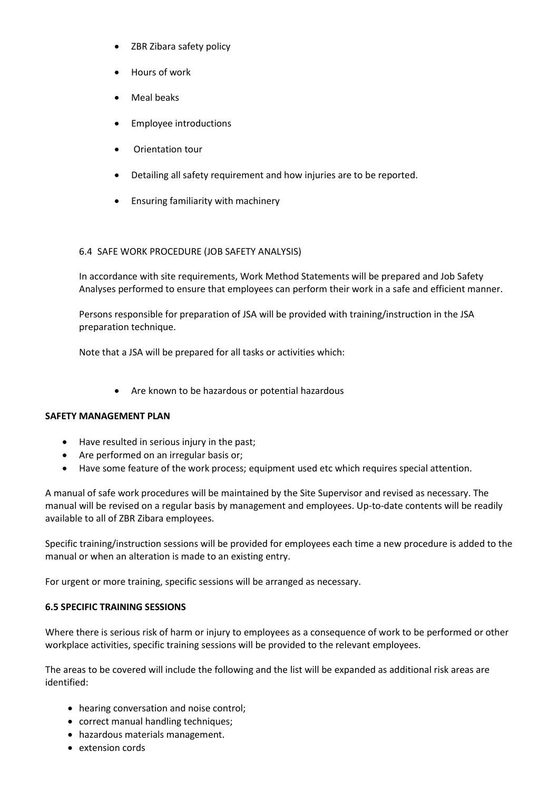- ZBR Zibara safety policy
- Hours of work
- Meal beaks
- Employee introductions
- Orientation tour
- Detailing all safety requirement and how injuries are to be reported.
- Ensuring familiarity with machinery

## 6.4 SAFE WORK PROCEDURE (JOB SAFETY ANALYSIS)

In accordance with site requirements, Work Method Statements will be prepared and Job Safety Analyses performed to ensure that employees can perform their work in a safe and efficient manner.

Persons responsible for preparation of JSA will be provided with training/instruction in the JSA preparation technique.

Note that a JSA will be prepared for all tasks or activities which:

• Are known to be hazardous or potential hazardous

#### **SAFETY MANAGEMENT PLAN**

- Have resulted in serious injury in the past;
- Are performed on an irregular basis or;
- Have some feature of the work process; equipment used etc which requires special attention.

A manual of safe work procedures will be maintained by the Site Supervisor and revised as necessary. The manual will be revised on a regular basis by management and employees. Up-to-date contents will be readily available to all of ZBR Zibara employees.

Specific training/instruction sessions will be provided for employees each time a new procedure is added to the manual or when an alteration is made to an existing entry.

For urgent or more training, specific sessions will be arranged as necessary.

#### **6.5 SPECIFIC TRAINING SESSIONS**

Where there is serious risk of harm or injury to employees as a consequence of work to be performed or other workplace activities, specific training sessions will be provided to the relevant employees.

The areas to be covered will include the following and the list will be expanded as additional risk areas are identified:

- hearing conversation and noise control;
- correct manual handling techniques;
- hazardous materials management.
- extension cords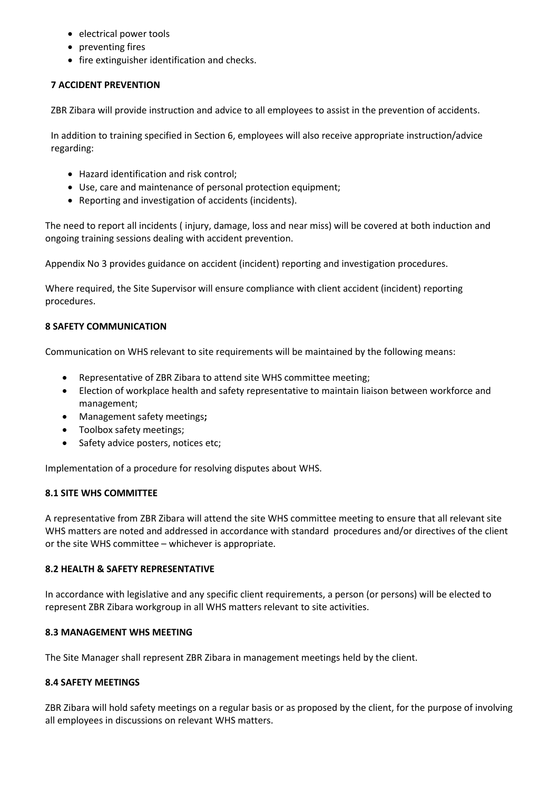- electrical power tools
- preventing fires
- fire extinguisher identification and checks.

## **7 ACCIDENT PREVENTION**

ZBR Zibara will provide instruction and advice to all employees to assist in the prevention of accidents.

In addition to training specified in Section 6, employees will also receive appropriate instruction/advice regarding:

- Hazard identification and risk control;
- Use, care and maintenance of personal protection equipment;
- Reporting and investigation of accidents (incidents).

The need to report all incidents ( injury, damage, loss and near miss) will be covered at both induction and ongoing training sessions dealing with accident prevention.

Appendix No 3 provides guidance on accident (incident) reporting and investigation procedures.

Where required, the Site Supervisor will ensure compliance with client accident (incident) reporting procedures.

## **8 SAFETY COMMUNICATION**

Communication on WHS relevant to site requirements will be maintained by the following means:

- Representative of ZBR Zibara to attend site WHS committee meeting;
- Election of workplace health and safety representative to maintain liaison between workforce and management;
- Management safety meetings**;**
- Toolbox safety meetings;
- Safety advice posters, notices etc;

Implementation of a procedure for resolving disputes about WHS.

#### **8.1 SITE WHS COMMITTEE**

A representative from ZBR Zibara will attend the site WHS committee meeting to ensure that all relevant site WHS matters are noted and addressed in accordance with standard procedures and/or directives of the client or the site WHS committee – whichever is appropriate.

#### **8.2 HEALTH & SAFETY REPRESENTATIVE**

In accordance with legislative and any specific client requirements, a person (or persons) will be elected to represent ZBR Zibara workgroup in all WHS matters relevant to site activities.

## **8.3 MANAGEMENT WHS MEETING**

The Site Manager shall represent ZBR Zibara in management meetings held by the client.

#### **8.4 SAFETY MEETINGS**

ZBR Zibara will hold safety meetings on a regular basis or as proposed by the client, for the purpose of involving all employees in discussions on relevant WHS matters.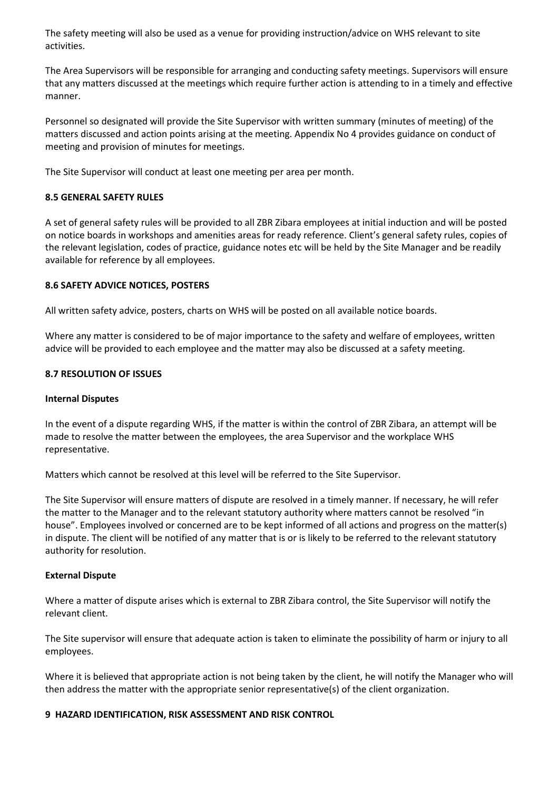The safety meeting will also be used as a venue for providing instruction/advice on WHS relevant to site activities.

The Area Supervisors will be responsible for arranging and conducting safety meetings. Supervisors will ensure that any matters discussed at the meetings which require further action is attending to in a timely and effective manner.

Personnel so designated will provide the Site Supervisor with written summary (minutes of meeting) of the matters discussed and action points arising at the meeting. Appendix No 4 provides guidance on conduct of meeting and provision of minutes for meetings.

The Site Supervisor will conduct at least one meeting per area per month.

## **8.5 GENERAL SAFETY RULES**

A set of general safety rules will be provided to all ZBR Zibara employees at initial induction and will be posted on notice boards in workshops and amenities areas for ready reference. Client's general safety rules, copies of the relevant legislation, codes of practice, guidance notes etc will be held by the Site Manager and be readily available for reference by all employees.

## **8.6 SAFETY ADVICE NOTICES, POSTERS**

All written safety advice, posters, charts on WHS will be posted on all available notice boards.

Where any matter is considered to be of major importance to the safety and welfare of employees, written advice will be provided to each employee and the matter may also be discussed at a safety meeting.

#### **8.7 RESOLUTION OF ISSUES**

#### **Internal Disputes**

In the event of a dispute regarding WHS, if the matter is within the control of ZBR Zibara, an attempt will be made to resolve the matter between the employees, the area Supervisor and the workplace WHS representative.

Matters which cannot be resolved at this level will be referred to the Site Supervisor.

The Site Supervisor will ensure matters of dispute are resolved in a timely manner. If necessary, he will refer the matter to the Manager and to the relevant statutory authority where matters cannot be resolved "in house". Employees involved or concerned are to be kept informed of all actions and progress on the matter(s) in dispute. The client will be notified of any matter that is or is likely to be referred to the relevant statutory authority for resolution.

#### **External Dispute**

Where a matter of dispute arises which is external to ZBR Zibara control, the Site Supervisor will notify the relevant client.

The Site supervisor will ensure that adequate action is taken to eliminate the possibility of harm or injury to all employees.

Where it is believed that appropriate action is not being taken by the client, he will notify the Manager who will then address the matter with the appropriate senior representative(s) of the client organization.

#### **9 HAZARD IDENTIFICATION, RISK ASSESSMENT AND RISK CONTROL**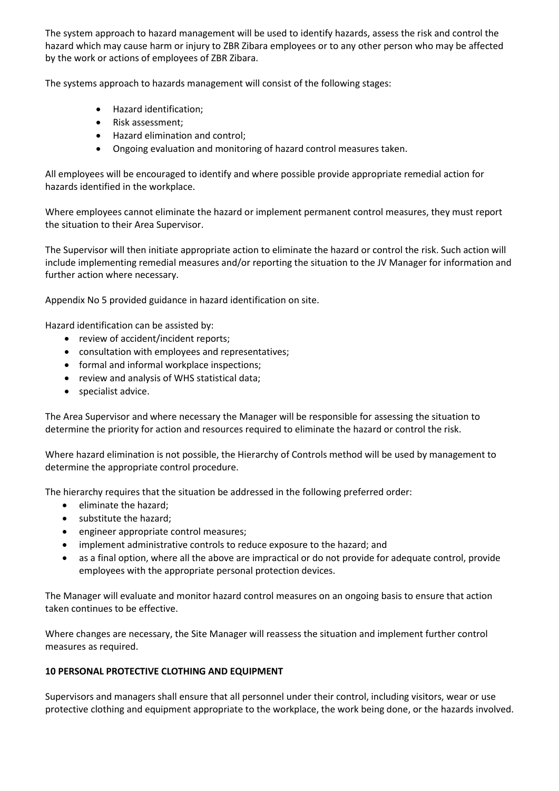The system approach to hazard management will be used to identify hazards, assess the risk and control the hazard which may cause harm or injury to ZBR Zibara employees or to any other person who may be affected by the work or actions of employees of ZBR Zibara.

The systems approach to hazards management will consist of the following stages:

- Hazard identification;
- Risk assessment;
- Hazard elimination and control;
- Ongoing evaluation and monitoring of hazard control measures taken.

All employees will be encouraged to identify and where possible provide appropriate remedial action for hazards identified in the workplace.

Where employees cannot eliminate the hazard or implement permanent control measures, they must report the situation to their Area Supervisor.

The Supervisor will then initiate appropriate action to eliminate the hazard or control the risk. Such action will include implementing remedial measures and/or reporting the situation to the JV Manager for information and further action where necessary.

Appendix No 5 provided guidance in hazard identification on site.

Hazard identification can be assisted by:

- review of accident/incident reports;
- consultation with employees and representatives;
- formal and informal workplace inspections;
- review and analysis of WHS statistical data;
- specialist advice.

The Area Supervisor and where necessary the Manager will be responsible for assessing the situation to determine the priority for action and resources required to eliminate the hazard or control the risk.

Where hazard elimination is not possible, the Hierarchy of Controls method will be used by management to determine the appropriate control procedure.

The hierarchy requires that the situation be addressed in the following preferred order:

- eliminate the hazard;
- substitute the hazard;
- engineer appropriate control measures;
- implement administrative controls to reduce exposure to the hazard; and
- as a final option, where all the above are impractical or do not provide for adequate control, provide employees with the appropriate personal protection devices.

The Manager will evaluate and monitor hazard control measures on an ongoing basis to ensure that action taken continues to be effective.

Where changes are necessary, the Site Manager will reassess the situation and implement further control measures as required.

#### **10 PERSONAL PROTECTIVE CLOTHING AND EQUIPMENT**

Supervisors and managers shall ensure that all personnel under their control, including visitors, wear or use protective clothing and equipment appropriate to the workplace, the work being done, or the hazards involved.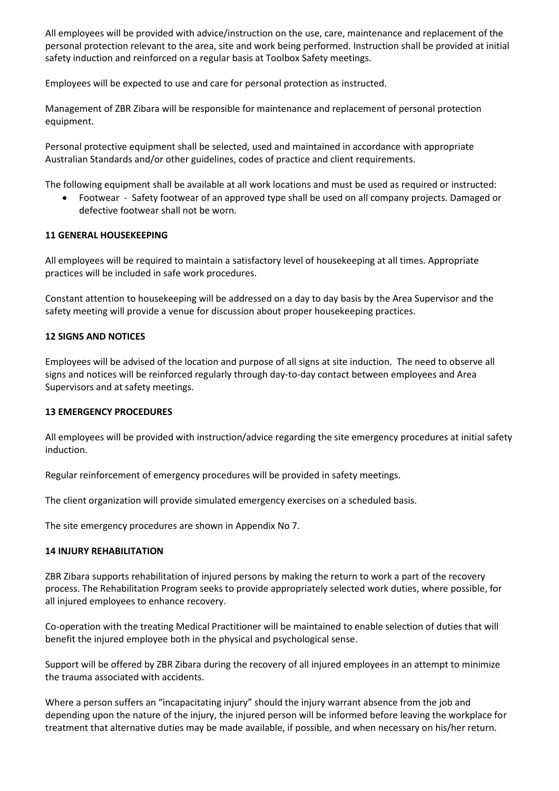All employees will be provided with advice/instruction on the use, care, maintenance and replacement of the personal protection relevant to the area, site and work being performed. Instruction shall be provided at initial safety induction and reinforced on a regular basis at Toolbox Safety meetings.

Employees will be expected to use and care for personal protection as instructed.

Management of ZBR Zibara will be responsible for maintenance and replacement of personal protection equipment.

Personal protective equipment shall be selected, used and maintained in accordance with appropriate Australian Standards and/or other guidelines, codes of practice and client requirements.

The following equipment shall be available at all work locations and must be used as required or instructed:

• Footwear - Safety footwear of an approved type shall be used on all company projects. Damaged or defective footwear shall not be worn.

#### **11 GENERAL HOUSEKEEPING**

All employees will be required to maintain a satisfactory level of housekeeping at all times. Appropriate practices will be included in safe work procedures.

Constant attention to housekeeping will be addressed on a day to day basis by the Area Supervisor and the safety meeting will provide a venue for discussion about proper housekeeping practices.

#### **12 SIGNS AND NOTICES**

Employees will be advised of the location and purpose of all signs at site induction. The need to observe all signs and notices will be reinforced regularly through day-to-day contact between employees and Area Supervisors and at safety meetings.

#### **13 EMERGENCY PROCEDURES**

All employees will be provided with instruction/advice regarding the site emergency procedures at initial safety induction.

Regular reinforcement of emergency procedures will be provided in safety meetings.

The client organization will provide simulated emergency exercises on a scheduled basis.

The site emergency procedures are shown in Appendix No 7.

#### **14 INJURY REHABILITATION**

ZBR Zibara supports rehabilitation of injured persons by making the return to work a part of the recovery process. The Rehabilitation Program seeks to provide appropriately selected work duties, where possible, for all injured employees to enhance recovery.

Co-operation with the treating Medical Practitioner will be maintained to enable selection of duties that will benefit the injured employee both in the physical and psychological sense.

Support will be offered by ZBR Zibara during the recovery of all injured employees in an attempt to minimize the trauma associated with accidents.

Where a person suffers an "incapacitating injury" should the injury warrant absence from the job and depending upon the nature of the injury, the injured person will be informed before leaving the workplace for treatment that alternative duties may be made available, if possible, and when necessary on his/her return.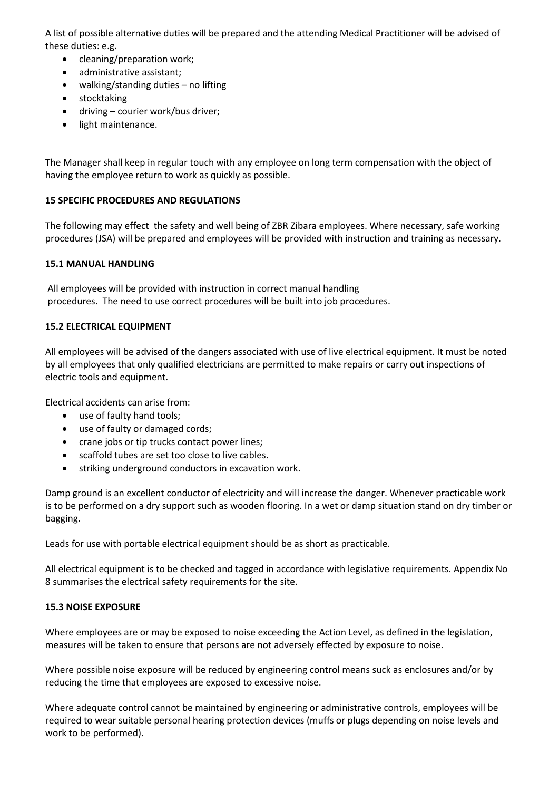A list of possible alternative duties will be prepared and the attending Medical Practitioner will be advised of these duties: e.g.

- cleaning/preparation work;
- administrative assistant;
- walking/standing duties no lifting
- stocktaking
- driving courier work/bus driver;
- light maintenance.

The Manager shall keep in regular touch with any employee on long term compensation with the object of having the employee return to work as quickly as possible.

## **15 SPECIFIC PROCEDURES AND REGULATIONS**

The following may effect the safety and well being of ZBR Zibara employees. Where necessary, safe working procedures (JSA) will be prepared and employees will be provided with instruction and training as necessary.

#### **15.1 MANUAL HANDLING**

All employees will be provided with instruction in correct manual handling procedures. The need to use correct procedures will be built into job procedures.

## **15.2 ELECTRICAL EQUIPMENT**

All employees will be advised of the dangers associated with use of live electrical equipment. It must be noted by all employees that only qualified electricians are permitted to make repairs or carry out inspections of electric tools and equipment.

Electrical accidents can arise from:

- use of faulty hand tools;
- use of faulty or damaged cords;
- crane jobs or tip trucks contact power lines;
- scaffold tubes are set too close to live cables.
- striking underground conductors in excavation work.

Damp ground is an excellent conductor of electricity and will increase the danger. Whenever practicable work is to be performed on a dry support such as wooden flooring. In a wet or damp situation stand on dry timber or bagging.

Leads for use with portable electrical equipment should be as short as practicable.

All electrical equipment is to be checked and tagged in accordance with legislative requirements. Appendix No 8 summarises the electrical safety requirements for the site.

#### **15.3 NOISE EXPOSURE**

Where employees are or may be exposed to noise exceeding the Action Level, as defined in the legislation, measures will be taken to ensure that persons are not adversely effected by exposure to noise.

Where possible noise exposure will be reduced by engineering control means suck as enclosures and/or by reducing the time that employees are exposed to excessive noise.

Where adequate control cannot be maintained by engineering or administrative controls, employees will be required to wear suitable personal hearing protection devices (muffs or plugs depending on noise levels and work to be performed).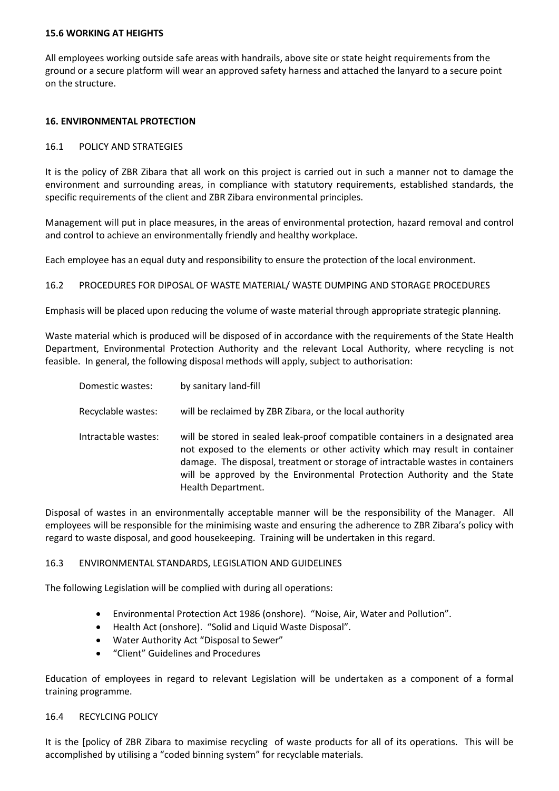#### **15.6 WORKING AT HEIGHTS**

All employees working outside safe areas with handrails, above site or state height requirements from the ground or a secure platform will wear an approved safety harness and attached the lanyard to a secure point on the structure.

#### **16. ENVIRONMENTAL PROTECTION**

#### 16.1 POLICY AND STRATEGIES

It is the policy of ZBR Zibara that all work on this project is carried out in such a manner not to damage the environment and surrounding areas, in compliance with statutory requirements, established standards, the specific requirements of the client and ZBR Zibara environmental principles.

Management will put in place measures, in the areas of environmental protection, hazard removal and control and control to achieve an environmentally friendly and healthy workplace.

Each employee has an equal duty and responsibility to ensure the protection of the local environment.

16.2 PROCEDURES FOR DIPOSAL OF WASTE MATERIAL/ WASTE DUMPING AND STORAGE PROCEDURES

Emphasis will be placed upon reducing the volume of waste material through appropriate strategic planning.

Waste material which is produced will be disposed of in accordance with the requirements of the State Health Department, Environmental Protection Authority and the relevant Local Authority, where recycling is not feasible. In general, the following disposal methods will apply, subject to authorisation:

| Domestic wastes:    | by sanitary land-fill                                                                                                                                                                                                                                                                                                                             |
|---------------------|---------------------------------------------------------------------------------------------------------------------------------------------------------------------------------------------------------------------------------------------------------------------------------------------------------------------------------------------------|
| Recyclable wastes:  | will be reclaimed by ZBR Zibara, or the local authority                                                                                                                                                                                                                                                                                           |
| Intractable wastes: | will be stored in sealed leak-proof compatible containers in a designated area<br>not exposed to the elements or other activity which may result in container<br>damage. The disposal, treatment or storage of intractable wastes in containers<br>will be approved by the Environmental Protection Authority and the State<br>Health Department. |

Disposal of wastes in an environmentally acceptable manner will be the responsibility of the Manager. All employees will be responsible for the minimising waste and ensuring the adherence to ZBR Zibara's policy with regard to waste disposal, and good housekeeping. Training will be undertaken in this regard.

#### 16.3 ENVIRONMENTAL STANDARDS, LEGISLATION AND GUIDELINES

The following Legislation will be complied with during all operations:

- Environmental Protection Act 1986 (onshore). "Noise, Air, Water and Pollution".
- Health Act (onshore). "Solid and Liquid Waste Disposal".
- Water Authority Act "Disposal to Sewer"
- "Client" Guidelines and Procedures

Education of employees in regard to relevant Legislation will be undertaken as a component of a formal training programme.

#### 16.4 RECYLCING POLICY

It is the [policy of ZBR Zibara to maximise recycling of waste products for all of its operations. This will be accomplished by utilising a "coded binning system" for recyclable materials.